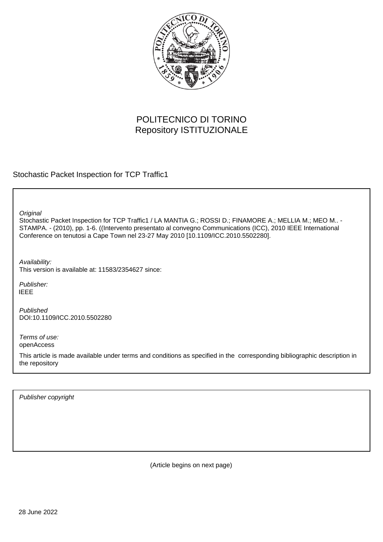

# POLITECNICO DI TORINO Repository ISTITUZIONALE

Stochastic Packet Inspection for TCP Traffic1

**Original** 

Stochastic Packet Inspection for TCP Traffic1 / LA MANTIA G.; ROSSI D.; FINAMORE A.; MELLIA M.; MEO M.. -STAMPA. - (2010), pp. 1-6. ((Intervento presentato al convegno Communications (ICC), 2010 IEEE International Conference on tenutosi a Cape Town nel 23-27 May 2010 [10.1109/ICC.2010.5502280].

Availability: This version is available at: 11583/2354627 since:

Publisher: IEEE

Published DOI:10.1109/ICC.2010.5502280

Terms of use: openAccess

This article is made available under terms and conditions as specified in the corresponding bibliographic description in the repository

Publisher copyright

(Article begins on next page)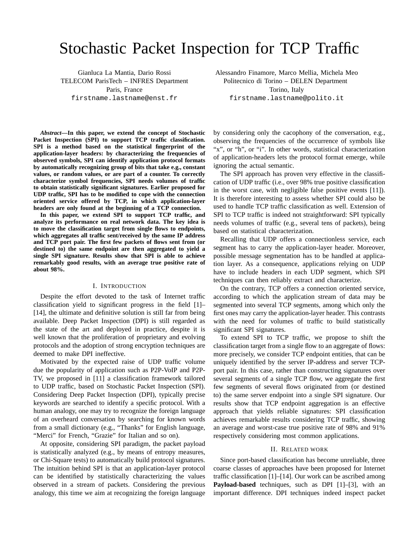# Stochastic Packet Inspection for TCP Traffic

Gianluca La Mantia, Dario Rossi TELECOM ParisTech – INFRES Department Paris, France firstname.lastname@enst.fr

Alessandro Finamore, Marco Mellia, Michela Meo Politecnico di Torino – DELEN Department Torino, Italy firstname.lastname@polito.it

*Abstract***—In this paper, we extend the concept of Stochastic Packet Inspection (SPI) to support TCP traffic classification. SPI is a method based on the statistical fingerprint of the application-layer headers: by characterizing the frequencies of observed symbols, SPI can identify application protocol formats by automatically recognizing group of bits that take e.g., constant values, or random values, or are part of a counter. To correctly characterize symbol frequencies, SPI needs volumes of traffic to obtain statistically significant signatures. Earlier proposed for UDP traffic, SPI has to be modified to cope with the connection oriented service offered by TCP, in which application-layer headers are only found at the beginning of a TCP connection.**

**In this paper, we extend SPI to support TCP traffic, and analyze its performance on real network data. The key idea is to move the classification target from single flows to endpoints, which aggregates all traffic sent/received by the same IP address and TCP port pair. The first few packets of flows sent from (or destined to) the same endpoint are then aggregated to yield a single SPI signature. Results show that SPI is able to achieve remarkably good results, with an average true positive rate of about 98%.**

#### I. INTRODUCTION

Despite the effort devoted to the task of Internet traffic classification yield to significant progress in the field [1]– [14], the ultimate and definitive solution is still far from being available. Deep Packet Inspection (DPI) is still regarded as the state of the art and deployed in practice, despite it is well known that the proliferation of proprietary and evolving protocols and the adoption of strong encryption techniques are deemed to make DPI ineffective.

Motivated by the expected raise of UDP traffic volume due the popularity of application such as P2P-VoIP and P2P-TV, we proposed in [11] a classification framework tailored to UDP traffic, based on Stochastic Packet Inspection (SPI). Considering Deep Packet Inspection (DPI), typically precise keywords are searched to identify a specific protocol. With a human analogy, one may try to recognize the foreign language of an overheard conversation by searching for known words from a small dictionary (e.g., "Thanks" for English language, "Merci" for French, "Grazie" for Italian and so on).

At opposite, considering SPI paradigm, the packet payload is statistically analyzed (e.g., by means of entropy measures, or Chi-Square tests) to automatically build protocol signatures. The intuition behind SPI is that an application-layer protocol can be identified by statistically characterizing the values observed in a stream of packets. Considering the previous analogy, this time we aim at recognizing the foreign language by considering only the cacophony of the conversation, e.g., observing the frequencies of the occurrence of symbols like "x", or "h", or "i". In other words, statistical characterization of application-headers lets the protocol format emerge, while ignoring the actual semantic.

The SPI approach has proven very effective in the classification of UDP traffic (i.e., over 98% true positive classification in the worst case, with negligible false positive events [11]). It is therefore interesting to assess whether SPI could also be used to handle TCP traffic classification as well. Extension of SPI to TCP traffic is indeed not straightforward: SPI typically needs volumes of traffic (e.g., several tens of packets), being based on statistical characterization.

Recalling that UDP offers a connectionless service, each segment has to carry the application-layer header. Moreover, possible message segmentation has to be handled at application layer. As a consequence, applications relying on UDP have to include headers in each UDP segment, which SPI techniques can then reliably extract and characterize.

On the contrary, TCP offers a connection oriented service, according to which the application stream of data may be segmented into several TCP segments, among which only the first ones may carry the application-layer header. This contrasts with the need for volumes of traffic to build statistically significant SPI signatures.

To extend SPI to TCP traffic, we propose to shift the classification target from a single flow to an aggregate of flows: more precisely, we consider TCP endpoint entities, that can be uniquely identified by the server IP-address and server TCPport pair. In this case, rather than constructing signatures over several segments of a single TCP flow, we aggregate the first few segments of several flows originated from (or destined to) the same server endpoint into a single SPI signature. Our results show that TCP endpoint aggregation is an effective approach that yields reliable signatures: SPI classification achieves remarkable results considering TCP traffic, showing an average and worst-case true positive rate of 98% and 91% respectively considering most common applications.

#### II. RELATED WORK

Since port-based classification has become unreliable, three coarse classes of approaches have been proposed for Internet traffic classification [1]–[14]. Our work can be ascribed among **Payload-based** techniques, such as DPI [1]–[3], with an important difference. DPI techniques indeed inspect packet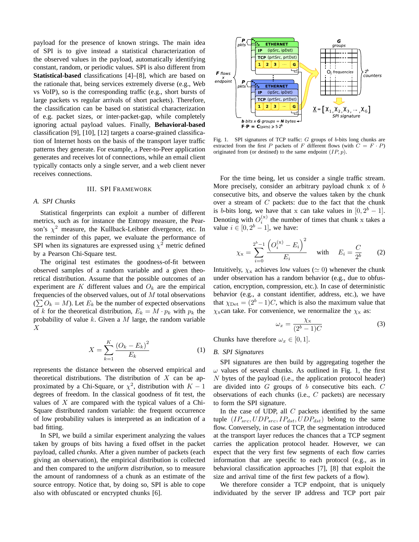payload for the presence of known strings. The main idea of SPI is to give instead a statistical characterization of the observed values in the payload, automatically identifying constant, random, or periodic values. SPI is also different from **Statistical-based** classifications [4]–[8], which are based on the rationale that, being services extremely diverse (e.g., Web vs VoIP), so is the corresponding traffic (e.g., short bursts of large packets vs regular arrivals of short packets). Therefore, the classification can be based on statistical characterization of e.g. packet sizes, or inter-packet-gap, while completely ignoring actual payload values. Finally, **Behavioral-based** classification [9], [10], [12] targets a coarse-grained classification of Internet hosts on the basis of the transport layer traffic patterns they generate. For example, a Peer-to-Peer application generates and receives lot of connections, while an email client typically contacts only a single server, and a web client never receives connections.

#### III. SPI FRAMEWORK

#### *A. SPI Chunks*

Statistical fingerprints can exploit a number of different metrics, such as for instance the Entropy measure, the Pearson's  $\chi^2$  measure, the Kullback-Leibner divergence, etc. In the reminder of this paper, we evaluate the performance of SPI when its signatures are expressed using  $\chi^2$  metric defined by a Pearson Chi-Square test.

The original test estimates the goodness-of-fit between observed samples of a random variable and a given theoretical distribution. Assume that the possible outcomes of an experiment are K different values and  $O_k$  are the empirical frequencies of the observed values, out of  $M$  total observations  $(\sum O_k = M)$ . Let  $E_k$  be the number of expected observations of k for the theoretical distribution,  $E_k = M \cdot p_k$  with  $p_k$  the probability of value  $k$ . Given a  $M$  large, the random variable X

$$
X = \sum_{k=1}^{K} \frac{(O_k - E_k)^2}{E_k}
$$
 (1)

represents the distance between the observed empirical and theoretical distributions. The distribution of  $X$  can be approximated by a Chi-Square, or  $\chi^2$ , distribution with  $K-1$ degrees of freedom. In the classical goodness of fit test, the values of  $X$  are compared with the typical values of a Chi-Square distributed random variable: the frequent occurrence of low probability values is interpreted as an indication of a bad fitting.

In SPI, we build a similar experiment analyzing the values taken by groups of bits having a fixed offset in the packet payload, called *chunks*. After a given number of packets (each giving an observation), the empirical distribution is collected and then compared to the *uniform distribution*, so to measure the amount of randomness of a chunk as an estimate of the source entropy. Notice that, by doing so, SPI is able to cope also with obfuscated or encrypted chunks [6].



Fig. 1. SPI signatures of TCP traffic: G groups of b-bits long chunks are extracted from the first P packets of F different flows (with  $C = F \cdot P$ ) originated from (or destined) to the same endpoint  $(IP, p)$ .

For the time being, let us consider a single traffic stream. More precisely, consider an arbitrary payload chunk  $x$  of  $b$ consecutive bits, and observe the values taken by the chunk over a stream of  $C$  packets: due to the fact that the chunk is b-bits long, we have that x can take values in  $[0, 2<sup>b</sup> - 1]$ . Denoting with  $O_i^{(x)}$  the number of times that chunk x takes a value  $i \in [0, 2^b - 1]$ , we have:

$$
\chi_{\rm x} = \sum_{i=0}^{2^b - 1} \frac{\left( O_i^{(\rm x)} - E_i \right)^2}{E_i} \quad \text{with} \quad E_i = \frac{C}{2^b} \tag{2}
$$

Intuitively,  $\chi_x$  achieves low values ( $\simeq$  0) whenever the chunk under observation has a random behavior (e.g., due to obfuscation, encryption, compression, etc.). In case of deterministic behavior (e.g., a constant identifier, address, etc.), we have that  $\chi_{\text{Det}} = (2^b - 1)C$ , which is also the maximum value that  $\chi_{\rm x}$ can take. For convenience, we renormalize the  $\chi_{\rm x}$  as:

$$
\omega_x = \frac{\chi_x}{(2^b - 1)C} \tag{3}
$$

Chunks have therefore  $\omega_x \in [0,1]$ .

# *B. SPI Signatures*

SPI signatures are then build by aggregating together the  $\omega$  values of several chunks. As outlined in Fig. 1, the first N bytes of the payload (i.e., the application protocol header) are divided into  $G$  groups of  $b$  consecutive bits each.  $C$ observations of each chunks (i.e., C packets) are necessary to form the SPI signature.

In the case of UDP, all  $C$  packets identified by the same tuple  $(IP_{src}, UDP_{src}, IP_{dst}, UDP_{dst})$  belong to the same flow. Conversely, in case of TCP, the segmentation introduced at the transport layer reduces the chances that a TCP segment carries the application protocol header. However, we can expect that the very first few segments of each flow carries information that are specific to each protocol (e.g., as in behavioral classification approaches [7], [8] that exploit the size and arrival time of the first few packets of a flow).

We therefore consider a TCP endpoint, that is uniquely individuated by the server IP address and TCP port pair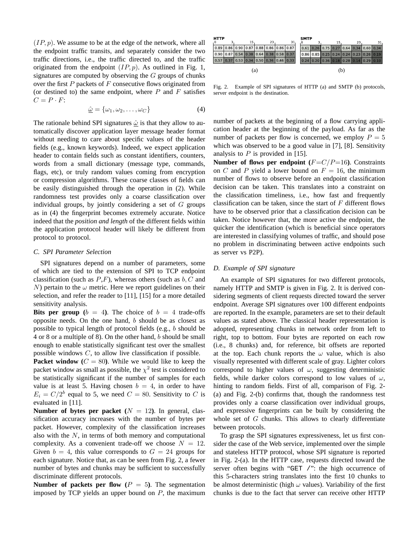$(IP, p)$ . We assume to be at the edge of the network, where all the endpoint traffic transits, and separately consider the two traffic directions, i.e., the traffic directed to, and the traffic originated from the endpoint  $(IP, p)$ . As outlined in Fig. 1, signatures are computed by observing the  $G$  groups of chunks over the first  $P$  packets of  $F$  consecutive flows originated from (or destined to) the same endpoint, where  $P$  and  $F$  satisfies  $C = P \cdot F$ :

$$
\hat{\underline{\omega}} = {\omega_1, \omega_2, \dots, \omega_C}
$$
 (4)

The rationale behind SPI signatures  $\hat{\omega}$  is that they allow to automatically discover application layer message header format without needing to care about specific values of the header fields (e.g., known keywords). Indeed, we expect application header to contain fields such as constant identifiers, counters, words from a small dictionary (message type, commands, flags, etc), or truly random values coming from encryption or compression algorithms. These coarse classes of fields can be easily distinguished through the operation in (2). While randomness test provides only a coarse classification over individual groups, by jointly considering a set of  $G$  groups as in (4) the fingerprint becomes extremely accurate. Notice indeed that the *position and length* of the different fields within the application protocol header will likely be different from protocol to protocol.

#### *C. SPI Parameter Selection*

SPI signatures depend on a number of parameters, some of which are tied to the extension of SPI to TCP endpoint classification (such as  $P, F$ ), whereas others (such as  $b, C$  and N) pertain to the  $\omega$  metric. Here we report guidelines on their selection, and refer the reader to [11], [15] for a more detailed sensitivity analysis.

**Bits per group** ( $b = 4$ ). The choice of  $b = 4$  trade-offs opposite needs. On the one hand, b should be as closest as possible to typical length of protocol fields (e.g., b should be 4 or 8 or a multiple of 8). On the other hand, b should be small enough to enable statistically significant test over the smallest possible windows  $C$ , to allow live classification if possible.

**Packet window** ( $C = 80$ ). While we would like to keep the packet window as small as possible, the  $\chi^2$  test is considered to be statistically significant if the number of samples for each value is at least 5. Having chosen  $b = 4$ , in order to have  $E_i = C/2^b$  equal to 5, we need  $C = 80$ . Sensitivity to C is evaluated in [11].

**Number of bytes per packet**  $(N = 12)$ . In general, classification accuracy increases with the number of bytes per packet. However, complexity of the classification increases also with the  $N$ , in terms of both memory and computational complexity. As a convenient trade-off we choose  $N = 12$ . Given  $b = 4$ , this value corresponds to  $G = 24$  groups for each signature. Notice that, as can be seen from Fig. 2, a fewer number of bytes and chunks may be sufficient to successfully discriminate different protocols.

**Number of packets per flow**  $(P = 5)$ **. The segmentation** imposed by TCP yields an upper bound on  $P$ , the maximum

| . 0 | <b>HTTP</b> |  | 15<br>23<br>31 |  |                                         |  |  |                                         | <b>SMTP</b><br>23 |  |  |    |  |                                                         |  |                                         |
|-----|-------------|--|----------------|--|-----------------------------------------|--|--|-----------------------------------------|-------------------|--|--|----|--|---------------------------------------------------------|--|-----------------------------------------|
|     |             |  |                |  |                                         |  |  |                                         |                   |  |  | 15 |  |                                                         |  | 31.                                     |
|     |             |  |                |  | 0.89 0.86 0.90 0.87 0.88 0.86 0.86 0.87 |  |  |                                         |                   |  |  |    |  |                                                         |  | 0 61 0 26 0 75 0 27 0 64 0 34 0 60 0 34 |
|     |             |  |                |  |                                         |  |  | 0.90 0.87 0.54 0.38 0.64 0.38 0.58 0.37 |                   |  |  |    |  | $0.86$   0.85   0.25   0.24   0.24   0.23   0.26   0.19 |  |                                         |
|     |             |  |                |  |                                         |  |  | 0.57 0.37 0.53 0.34 0.50 0.36 0.46 0.33 |                   |  |  |    |  | 0.24 0.20 0.36 0.18 0.28 0.14 0.29 0.10                 |  |                                         |
| (a) |             |  |                |  |                                         |  |  | (b)                                     |                   |  |  |    |  |                                                         |  |                                         |

Fig. 2. Example of SPI signatures of HTTP (a) and SMTP (b) protocols, server endpoint is the destination.

number of packets at the beginning of a flow carrying application header at the beginning of the payload. As far as the number of packets per flow is concerned, we employ  $P = 5$ which was observed to be a good value in [7], [8]. Sensitivity analysis to  $P$  is provided in [15].

**Number of flows per endpoint**  $(F=C/P=16)$ . Constraints on C and P yield a lower bound on  $F = 16$ , the minimum number of flows to observe before an endpoint classification decision can be taken. This translates into a constraint on the classification timeliness, i.e., how fast and frequently classification can be taken, since the start of  $F$  different flows have to be observed prior that a classification decision can be taken. Notice however that, the more active the endpoint, the quicker the identification (which is beneficial since operators are interested in classifying volumes of traffic, and should pose no problem in discriminating between active endpoints such as server vs P2P).

# *D. Example of SPI signature*

An example of SPI signatures for two different protocols, namely HTTP and SMTP is given in Fig. 2. It is derived considering segments of client requests directed toward the server endpoint. Average SPI signatures over 100 different endpoints are reported. In the example, parameters are set to their default values as stated above. The classical header representation is adopted, representing chunks in network order from left to right, top to bottom. Four bytes are reported on each row (i.e., 8 chunks) and, for reference, bit offsets are reported at the top. Each chunk reports the  $\omega$  value, which is also visually represented with different scale of gray. Lighter colors correspond to higher values of  $\omega$ , suggesting deterministic fields, while darker colors correspond to low values of  $\omega$ , hinting to random fields. First of all, comparison of Fig. 2- (a) and Fig. 2-(b) confirms that, though the randomness test provides only a coarse classification over individual groups, and expressive fingerprints can be built by considering the whole set of  $G$  chunks. This allows to clearly differentiate between protocols.

To grasp the SPI signatures expressiveness, let us first consider the case of the Web service, implemented over the simple and stateless HTTP protocol, whose SPI signature is reported in Fig. 2-(a). In the HTTP case, requests directed toward the server often begins with "GET /": the high occurrence of this 5-characters string translates into the first 10 chunks to be almost deterministic (high  $\omega$  values). Variability of the first chunks is due to the fact that server can receive other HTTP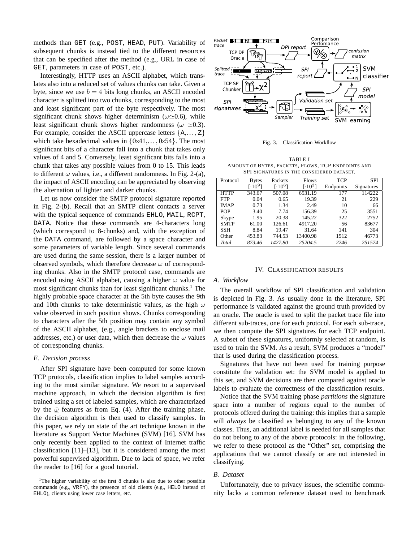methods than GET (e.g., POST, HEAD, PUT). Variability of subsequent chunks is instead tied to the different resources that can be specified after the method (e.g., URL in case of GET, parameters in case of POST, etc.).

Interestingly, HTTP uses an ASCII alphabet, which translates also into a reduced set of values chunks can take. Given a byte, since we use  $b = 4$  bits long chunks, an ASCII encoded character is splitted into two chunks, corresponding to the most and least significant part of the byte respectively. The most significant chunk shows higher determinism ( $\omega \approx 0.6$ ), while least significant chunk shows higher randomness ( $\omega \approx 0.3$ ). For example, consider the ASCII uppercase letters  $\{A, \ldots, Z\}$ which take hexadecimal values in  $\{0 \times 41, \ldots, 0 \times 54\}$ . The most significant bits of a character fall into a chunk that takes only values of 4 and 5. Conversely, least significant bits falls into a chunk that takes any possible values from 0 to 15. This leads to different  $\omega$  values, i.e., a different randomness. In Fig. 2-(a), the impact of ASCII encoding can be appreciated by observing the alternation of lighter and darker chunks.

Let us now consider the SMTP protocol signature reported in Fig. 2-(b). Recall that an SMTP client contacts a server with the typical sequence of commands EHLO, MAIL, RCPT, DATA. Notice that these commands are 4-characters long (which correspond to 8-chunks) and, with the exception of the DATA command, are followed by a space character and some parameters of variable length. Since several commands are used during the same session, there is a larger number of observed symbols, which therefore decrease  $\omega$  of corresponding chunks. Also in the SMTP protocol case, commands are encoded using ASCII alphabet, causing a higher  $\omega$  value for most significant chunks than for least significant chunks.<sup>1</sup> The highly probable space character at the 5th byte causes the 9th and 10th chunks to take deterministic values, as the high  $\omega$ value observed in such position shows. Chunks corresponding to characters after the 5th position may contain any symbol of the ASCII alphabet, (e.g., angle brackets to enclose mail addresses, etc.) or user data, which then decrease the  $\omega$  values of corresponding chunks.

### *E. Decision process*

After SPI signature have been computed for some known TCP protocols, classification implies to label samples according to the most similar signature. We resort to a supervised machine approach, in which the decision algorithm is first trained using a set of labeled samples, which are characterized by the  $\hat{\omega}$  features as from Eq. (4). After the training phase, the decision algorithm is then used to classify samples. In this paper, we rely on state of the art technique known in the literature as Support Vector Machines (SVM) [16]. SVM has only recently been applied to the context of Internet traffic classification [11]–[13], but it is considered among the most powerful supervised algorithm. Due to lack of space, we refer the reader to [16] for a good tutorial.



Fig. 3. Classification Workflow

TABLE I AMOUNT OF BYTES, PACKETS, FLOWS, TCP ENDPOINTS AND SPI SIGNATURES IN THE CONSIDERED DATASET.

| Protocol    | <b>Bytes</b> | Packets   | <b>Flows</b> | <b>TCP</b> | <b>SPI</b> |
|-------------|--------------|-----------|--------------|------------|------------|
|             | $[.10^{9}]$  | $[.10^6]$ | $[.10^{3}]$  | Endpoints  | Signatures |
| <b>HTTP</b> | 343.67       | 507.08    | 6531.19      | 177        | 114222     |
| <b>FTP</b>  | 0.04         | 0.65      | 19.39        | 21         | 229        |
| <b>IMAP</b> | 0.73         | 1.34      | 2.49         | 10         | 66         |
| <b>POP</b>  | 3.40         | 7.74      | 156.39       | 25         | 3551       |
| Skype       | 1.95         | 20.38     | 145.22       | 322        | 2752       |
| <b>SMTP</b> | 61.00        | 126.61    | 4917.20      | 56         | 83677      |
| <b>SSH</b>  | 8.84         | 19.47     | 31.64        | 141        | 304        |
| Other       | 453.83       | 744.53    | 13400.98     | 1512       | 46773      |
| Total       | 873.46       | 1427.80   | 25204.5      | 2246       | 251574     |

#### IV. CLASSIFICATION RESULTS

# *A. Workflow*

The overall workflow of SPI classification and validation is depicted in Fig. 3. As usually done in the literature, SPI performance is validated against the ground truth provided by an oracle. The oracle is used to split the packet trace file into different sub-traces, one for each protocol. For each sub-trace, we then compute the SPI signatures for each TCP endpoint. A subset of these signatures, uniformly selected at random, is used to train the SVM. As a result, SVM produces a "model" that is used during the classification process.

Signatures that have not been used for training purpose constitute the validation set: the SVM model is applied to this set, and SVM decisions are then compared against oracle labels to evaluate the correctness of the classification results.

Notice that the SVM training phase *partitions* the signature space into a number of regions equal to the number of protocols offered during the training: this implies that a sample will *always* be classified as belonging to any of the known classes. Thus, an additional label is needed for all samples that do not belong to any of the above protocols: in the following, we refer to these protocol as the "Other" set, comprising the applications that we cannot classify or are not interested in classifying.

# *B. Dataset*

Unfortunately, due to privacy issues, the scientific community lacks a common reference dataset used to benchmark

<sup>&</sup>lt;sup>1</sup>The higher variability of the first 8 chunks is also due to other possible commands (e.g., VRFY), the presence of old clients (e.g., HELO instead of EHLO), clients using lower case letters, etc.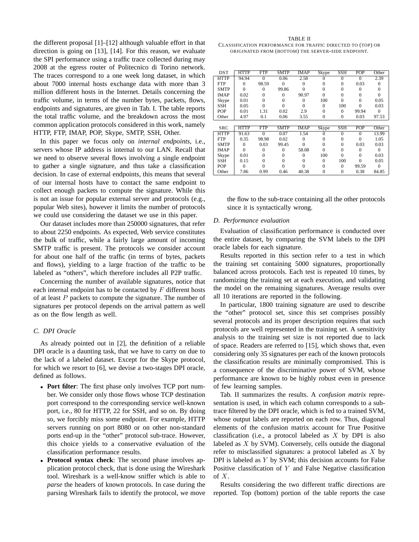the different proposal [1]–[12] although valuable effort in that direction is going on [13], [14]. For this reason, we evaluate the SPI performance using a traffic trace collected during may 2008 at the egress router of Politecnico di Torino network. The traces correspond to a one week long dataset, in which about 7000 internal hosts exchange data with more than 3 million different hosts in the Internet. Details concerning the traffic volume, in terms of the number bytes, packets, flows, endpoints and signatures, are given in Tab. I. The table reports the total traffic volume, and the breakdown across the most common application protocols considered in this work, namely HTTP, FTP, IMAP, POP, Skype, SMTP, SSH, Other.

In this paper we focus only on *internal endpoints,* i.e., servers whose IP address is internal to our LAN. Recall that we need to observe several flows involving a single endpoint to gather a single signature, and thus take a classification decision. In case of external endpoints, this means that several of our internal hosts have to contact the same endpoint to collect enough packets to compute the signature. While this is not an issue for popular external server and protocols (e.g., popular Web sites), however it limits the number of protocols we could use considering the dataset we use in this paper.

Our dataset includes more than 250000 signatures, that refer to about 2250 endpoints. As expected, Web service constitutes the bulk of traffic, while a fairly large amount of incoming SMTP traffic is present. The protocols we consider account for about one half of the traffic (in terms of bytes, packets and flows), yielding to a large fraction of the traffic to be labeled as "others", which therefore includes all P2P traffic.

Concerning the number of available signatures, notice that each internal endpoint has to be contacted by  $F$  different hosts of at least  $P$  packets to compute the signature. The number of signatures per protocol depends on the arrival pattern as well as on the flow length as well.

# *C. DPI Oracle*

As already pointed out in [2], the definition of a reliable DPI oracle is a daunting task, that we have to carry on due to the lack of a labeled dataset. Except for the Skype protocol, for which we resort to [6], we devise a two-stages DPI oracle, defined as follows.

- **Port filter**: The first phase only involves TCP port number. We consider only those flows whose TCP destination port correspond to the corresponding service well-known port, i.e., 80 for HTTP, 22 for SSH, and so on. By doing so, we forcibly miss some endpoint. For example, HTTP servers running on port 8080 or on other non-standard ports end-up in the "other" protocol sub-trace. However, this choice yields to a conservative evaluation of the classification performance results.
- **Protocol syntax check**: The second phase involves application protocol check, that is done using the Wireshark tool. Wireshark is a well-know sniffer which is able to *parse* the headers of known protocols. In case during the parsing Wireshark fails to identify the protocol, we move

TABLE II CLASSIFICATION PERFORMANCE FOR TRAFFIC DIRECTED TO (TOP) OR ORIGINATED FROM (BOTTOM) THE SERVER-SIDE ENDPOINT.

| DST          |             | HTTP           | FTP                     | <b>SMTP</b> | <b>IMAP</b> | $\overline{\text{Skype}}$ | <b>SSH</b>   | <b>POP</b> | Other    |
|--------------|-------------|----------------|-------------------------|-------------|-------------|---------------------------|--------------|------------|----------|
|              | <b>HTTP</b> | 94.94          | $\Omega$                | 0.06        | 2.58        | 0                         | $\Omega$     | $\Omega$   | 2.39     |
|              | <b>FTP</b>  | 0              | 98.59                   | $\theta$    | 0           | 0                         | 0            | 0.03       | $\Omega$ |
|              | <b>SMTP</b> | 0              | $\theta$                | 99.86       |             | 0                         |              |            |          |
|              | IMAP        | 0.02<br>0<br>0 |                         | 90.97       | 0           |                           | 0            |            |          |
|              | Skype       | 0.01           | 0<br>0                  |             | 0           | 100                       | 0            | 0          | 0.05     |
|              | SSH         | 0.05           | 0<br>0                  |             |             | $\theta$                  | 100          |            | 0.03     |
| POP<br>Other |             | 0.01           | 1.31                    | 0.02        | 2.9         | 0                         | $\theta$     | 99.94      | $\Omega$ |
|              |             | 4.97           | 0.1                     | 0.06        | 3.55        | $\Omega$                  | $\theta$     | 0.03       | 97.53    |
|              |             |                |                         |             |             |                           |              |            |          |
|              | SRC         | <b>HTTP</b>    | $\overline{\text{FTP}}$ | <b>SMTP</b> | <b>IMAP</b> | <b>Skype</b>              | <b>SSH</b>   | <b>POP</b> | Other    |
|              | <b>HTTP</b> | 91.63          | 0                       | 0.07        | 1.54        |                           | 0            | $\Omega$   | 13.99    |
|              | <b>FTP</b>  | 0.35           | 98.98                   | 0.02        | 0           |                           |              | 0          | 1.05     |
|              | <b>SMTP</b> | 0              | 0.03                    | 99.45       |             | 0                         | 0            | 0.03       | 0.03     |
|              | IMAP        | 0              | 0                       | 0           | 58.08       | 0                         | 0            | 0          | $\Omega$ |
|              | Skype       | 0.01           | 0                       | 0           | 0           | 100                       | 0            | 0          | 0.03     |
|              | SSH         | 0.15           | 0                       | $\theta$    |             | $\Omega$                  | 100          |            | 0.05     |
|              | POP         | $\Omega$       |                         |             |             | 0                         | $\theta$     | 99.59      |          |
|              | Other       | 7.86           | 0.99                    | 0.46        | 40.38       | 0                         | $\mathbf{0}$ | 0.38       | 84.85    |

the flow to the sub-trace containing all the other protocols since it is syntactically wrong.

#### *D. Performance evaluation*

Evaluation of classification performance is conducted over the entire dataset, by comparing the SVM labels to the DPI oracle labels for each signature.

Results reported in this section refer to a test in which the training set containing 5000 signatures, proportionally balanced across protocols. Each test is repeated 10 times, by randomizing the training set at each execution, and validating the model on the remaining signatures. Average results over all 10 iterations are reported in the following.

In particular, 1800 training signature are used to describe the "other" protocol set, since this set comprises possibly several protocols and its proper description requires that such protocols are well represented in the training set. A sensitivity analysis to the training set size is not reported due to lack of space. Readers are referred to [15], which shows that, even considering only 35 signatures per each of the known protocols the classification results are minimally compromised. This is a consequence of the discriminative power of SVM, whose performance are known to be highly robust even in presence of few learning samples.

Tab. II summarizes the results. A *confusion matrix* representation is used, in which each column corresponds to a subtrace filtered by the DPI oracle, which is fed to a trained SVM, whose output labels are reported on each row. Thus, diagonal elements of the confusion matrix account for True Positive classification (i.e., a protocol labeled as  $X$  by DPI is also labeled as  $X$  by SVM). Conversely, cells outside the diagonal refer to misclassified signatures: a protocol labeled as  $X$  by DPI is labeled as Y by SVM; this decision accounts for False Positive classification of  $Y$  and False Negative classification of  $X$ .

Results considering the two different traffic directions are reported. Top (bottom) portion of the table reports the case